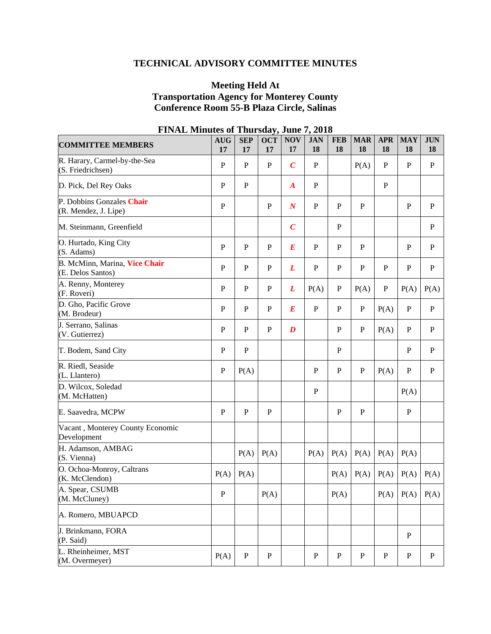# **TECHNICAL ADVISORY COMMITTEE MINUTES**

# **Meeting Held At Transportation Agency for Monterey County Conference Room 55-B Plaza Circle, Salinas**

| <b>COMMITTEE MEMBERS</b>                           | <b>AUG</b><br>17 | <b>SEP</b><br>17 | <b>OCT</b><br>17 | <b>NOV</b><br>17 | <b>JAN</b><br><b>18</b> | <b>FEB</b><br>18 | <b>MAR</b><br>18 | <b>APR</b><br>18 | <b>MAY</b><br>18 | <b>JUN</b><br>18 |
|----------------------------------------------------|------------------|------------------|------------------|------------------|-------------------------|------------------|------------------|------------------|------------------|------------------|
| R. Harary, Carmel-by-the-Sea<br>(S. Friedrichsen)  | $\, {\bf P}$     | $\mathbf{P}$     | ${\bf P}$        | $\boldsymbol{C}$ | $\mathbf P$             |                  | P(A)             | $\mathbf{P}$     | $\mathbf P$      | $\mathbf{P}$     |
| D. Pick, Del Rey Oaks                              | $\mathbf{P}$     | $\mathbf{P}$     |                  | $\boldsymbol{A}$ | $\mathbf{P}$            |                  |                  | $\mathbf{P}$     |                  |                  |
| P. Dobbins Gonzales Chair<br>(R. Mendez, J. Lipe)  | $\, {\bf P}$     |                  | ${\bf P}$        | $\boldsymbol{N}$ | ${\bf P}$               | $\mathbf P$      | $\mathbf P$      |                  | ${\bf P}$        | P                |
| M. Steinmann, Greenfield                           |                  |                  |                  | $\boldsymbol{C}$ |                         | $\mathbf P$      |                  |                  |                  | $\mathbf P$      |
| O. Hurtado, King City<br>(S. Adams)                | $\mathbf{P}$     | ${\bf P}$        | $\mathbf{P}$     | $\boldsymbol{E}$ | $\mathbf{P}$            | ${\bf P}$        | $\mathbf{P}$     |                  | $\mathbf{P}$     | $\mathbf{P}$     |
| B. McMinn, Marina, Vice Chair<br>(E. Delos Santos) | $\, {\bf P}$     | ${\bf P}$        | ${\bf P}$        | L                | $\mathbf P$             | $\mathbf P$      | ${\bf P}$        | P                | ${\bf P}$        | $\mathbf P$      |
| A. Renny, Monterey<br>(F. Roveri)                  | $\mathbf{P}$     | P                | $\mathbf P$      | L                | P(A)                    | P                | P(A)             | P                | P(A)             | P(A)             |
| D. Gho, Pacific Grove<br>(M. Brodeur)              | $\mathbf{P}$     | $\mathbf{P}$     | $\mathbf{P}$     | E                | $\mathbf P$             | $\mathbf{P}$     | $\mathbf{P}$     | P(A)             | $\mathbf P$      | $\mathbf P$      |
| J. Serrano, Salinas<br>(V. Gutierrez)              | P                | P                | P                | $\boldsymbol{D}$ |                         | $\mathbf{P}$     | P                | P(A)             | $\mathbf{P}$     | $\mathbf{P}$     |
| T. Bodem, Sand City                                | $\, {\bf P}$     | ${\bf P}$        |                  |                  |                         | $\mathbf P$      |                  |                  | ${\bf P}$        | $\mathbf P$      |
| R. Riedl, Seaside<br>(L. Llantero)                 | $\, {\bf P}$     | P(A)             |                  |                  | $\mathbf P$             | $\mathbf{P}$     | $\mathbf{P}$     | P(A)             | ${\bf P}$        | $\mathbf{P}$     |
| D. Wilcox, Soledad<br>(M. McHatten)                |                  |                  |                  |                  | ${\bf P}$               |                  |                  |                  | P(A)             |                  |
| E. Saavedra, MCPW                                  | P                | ${\bf P}$        | P                |                  |                         | $\mathbf P$      | P                |                  | ${\bf P}$        |                  |
| Vacant, Monterey County Economic<br>Development    |                  |                  |                  |                  |                         |                  |                  |                  |                  |                  |
| H. Adamson, AMBAG<br>(S. Vienna)                   |                  | P(A)             | P(A)             |                  | P(A)                    | P(A)             | P(A)             | P(A)             | P(A)             |                  |
| O. Ochoa-Monroy, Caltrans<br>(K. McClendon)        | P(A)             | P(A)             |                  |                  |                         | P(A)             | P(A)             | P(A)             | P(A)             | P(A)             |
| A. Spear, CSUMB<br>(M. McCluney)                   | P                |                  | P(A)             |                  |                         | P(A)             |                  | P(A)             |                  | $P(A)$ $P(A)$    |
| A. Romero, MBUAPCD                                 |                  |                  |                  |                  |                         |                  |                  |                  |                  |                  |
| J. Brinkmann, FORA<br>(P. Said)                    |                  |                  |                  |                  |                         |                  |                  |                  | ${\bf P}$        |                  |
| L. Rheinheimer, MST<br>(M. Overmeyer)              | P(A)             | $\, {\bf P}$     | ${\bf P}$        |                  | $\, {\bf P}$            | ${\bf P}$        | $\mathbf{P}$     | ${\bf P}$        | ${\bf P}$        | $\mathbf{P}$     |

# **FINAL Minutes of Thursday, June 7, 2018**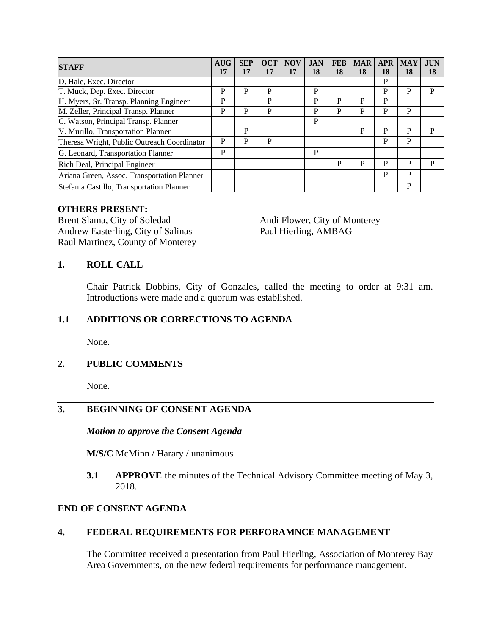| <b>STAFF</b>                                | AUG | <b>SEP</b> | <b>OCT</b> | <b>NOV</b> | <b>JAN</b> | <b>FEB</b> | <b>MAR</b> | <b>APR</b> | <b>MAY</b> | <b>JUN</b> |
|---------------------------------------------|-----|------------|------------|------------|------------|------------|------------|------------|------------|------------|
|                                             | 17  | 17         | 17         | 17         | 18         | 18         | 18         | 18         | 18         | 18         |
| D. Hale, Exec. Director                     |     |            |            |            |            |            |            | P          |            |            |
| T. Muck, Dep. Exec. Director                | P   | P          | P          |            | P          |            |            | P          | P          | P          |
| H. Myers, Sr. Transp. Planning Engineer     | P   |            | P          |            | P          | P          | P          | P          |            |            |
| M. Zeller, Principal Transp. Planner        | P   | P          | P          |            | P          | P          | P          | P          | P          |            |
| C. Watson, Principal Transp. Planner        |     |            |            |            | P          |            |            |            |            |            |
| V. Murillo, Transportation Planner          |     | P          |            |            |            |            | P          | P          | P          | P          |
| Theresa Wright, Public Outreach Coordinator | P   | P          | P          |            |            |            |            | P          | P          |            |
| G. Leonard, Transportation Planner          | P   |            |            |            | P          |            |            |            |            |            |
| Rich Deal, Principal Engineer               |     |            |            |            |            | P          | P          | P          | P          | P          |
| Ariana Green, Assoc. Transportation Planner |     |            |            |            |            |            |            | P          | P          |            |
| Stefania Castillo, Transportation Planner   |     |            |            |            |            |            |            |            | P          |            |

### **OTHERS PRESENT:**

Brent Slama, City of Soledad Andi Flower, City of Monterey<br>Andrew Easterling, City of Salinas Paul Hierling, AMBAG Andrew Easterling, City of Salinas Raul Martinez, County of Monterey

### **1. ROLL CALL**

Chair Patrick Dobbins, City of Gonzales, called the meeting to order at 9:31 am. Introductions were made and a quorum was established.

### **1.1 ADDITIONS OR CORRECTIONS TO AGENDA**

None.

# **2. PUBLIC COMMENTS**

None.

# **3. BEGINNING OF CONSENT AGENDA**

#### *Motion to approve the Consent Agenda*

**M/S/C** McMinn / Harary / unanimous

**3.1 APPROVE** the minutes of the Technical Advisory Committee meeting of May 3, 2018.

### **END OF CONSENT AGENDA**

# **4. FEDERAL REQUIREMENTS FOR PERFORAMNCE MANAGEMENT**

The Committee received a presentation from Paul Hierling, Association of Monterey Bay Area Governments, on the new federal requirements for performance management.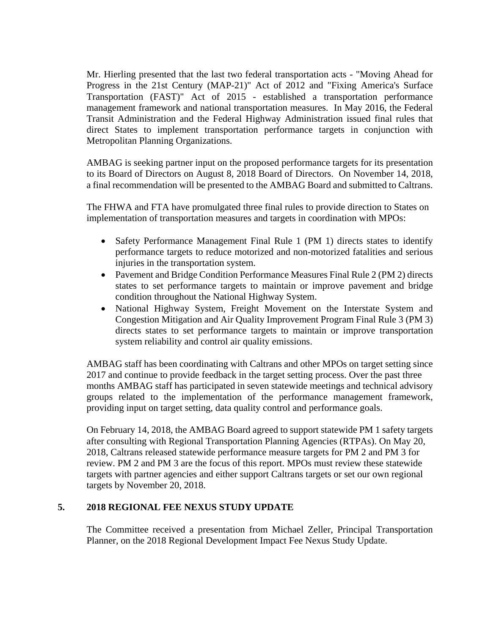Mr. Hierling presented that the last two federal transportation acts - "Moving Ahead for Progress in the 21st Century (MAP-21)" Act of 2012 and "Fixing America's Surface Transportation (FAST)" Act of 2015 - established a transportation performance management framework and national transportation measures. In May 2016, the Federal Transit Administration and the Federal Highway Administration issued final rules that direct States to implement transportation performance targets in conjunction with Metropolitan Planning Organizations.

AMBAG is seeking partner input on the proposed performance targets for its presentation to its Board of Directors on August 8, 2018 Board of Directors. On November 14, 2018, a final recommendation will be presented to the AMBAG Board and submitted to Caltrans.

The FHWA and FTA have promulgated three final rules to provide direction to States on implementation of transportation measures and targets in coordination with MPOs:

- Safety Performance Management Final Rule 1 (PM 1) directs states to identify performance targets to reduce motorized and non-motorized fatalities and serious injuries in the transportation system.
- Pavement and Bridge Condition Performance Measures Final Rule 2 (PM 2) directs states to set performance targets to maintain or improve pavement and bridge condition throughout the National Highway System.
- National Highway System, Freight Movement on the Interstate System and Congestion Mitigation and Air Quality Improvement Program Final Rule 3 (PM 3) directs states to set performance targets to maintain or improve transportation system reliability and control air quality emissions.

AMBAG staff has been coordinating with Caltrans and other MPOs on target setting since 2017 and continue to provide feedback in the target setting process. Over the past three months AMBAG staff has participated in seven statewide meetings and technical advisory groups related to the implementation of the performance management framework, providing input on target setting, data quality control and performance goals.

On February 14, 2018, the AMBAG Board agreed to support statewide PM 1 safety targets after consulting with Regional Transportation Planning Agencies (RTPAs). On May 20, 2018, Caltrans released statewide performance measure targets for PM 2 and PM 3 for review. PM 2 and PM 3 are the focus of this report. MPOs must review these statewide targets with partner agencies and either support Caltrans targets or set our own regional targets by November 20, 2018.

# **5. 2018 REGIONAL FEE NEXUS STUDY UPDATE**

The Committee received a presentation from Michael Zeller, Principal Transportation Planner, on the 2018 Regional Development Impact Fee Nexus Study Update.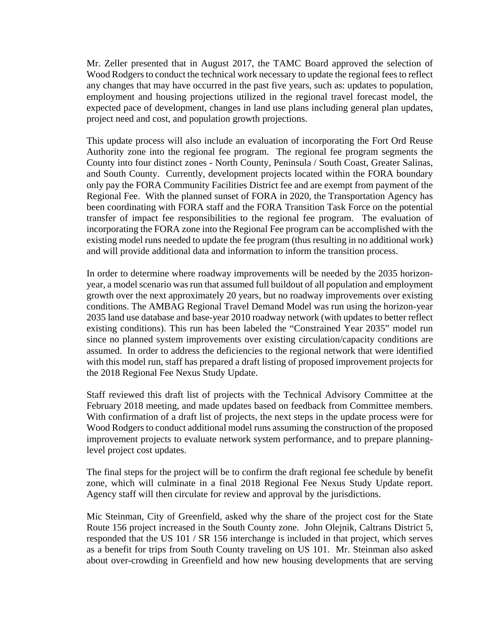Mr. Zeller presented that in August 2017, the TAMC Board approved the selection of Wood Rodgers to conduct the technical work necessary to update the regional fees to reflect any changes that may have occurred in the past five years, such as: updates to population, employment and housing projections utilized in the regional travel forecast model, the expected pace of development, changes in land use plans including general plan updates, project need and cost, and population growth projections.

This update process will also include an evaluation of incorporating the Fort Ord Reuse Authority zone into the regional fee program. The regional fee program segments the County into four distinct zones - North County, Peninsula / South Coast, Greater Salinas, and South County. Currently, development projects located within the FORA boundary only pay the FORA Community Facilities District fee and are exempt from payment of the Regional Fee. With the planned sunset of FORA in 2020, the Transportation Agency has been coordinating with FORA staff and the FORA Transition Task Force on the potential transfer of impact fee responsibilities to the regional fee program. The evaluation of incorporating the FORA zone into the Regional Fee program can be accomplished with the existing model runs needed to update the fee program (thus resulting in no additional work) and will provide additional data and information to inform the transition process.

In order to determine where roadway improvements will be needed by the 2035 horizonyear, a model scenario was run that assumed full buildout of all population and employment growth over the next approximately 20 years, but no roadway improvements over existing conditions. The AMBAG Regional Travel Demand Model was run using the horizon-year 2035 land use database and base-year 2010 roadway network (with updates to better reflect existing conditions). This run has been labeled the "Constrained Year 2035" model run since no planned system improvements over existing circulation/capacity conditions are assumed. In order to address the deficiencies to the regional network that were identified with this model run, staff has prepared a draft listing of proposed improvement projects for the 2018 Regional Fee Nexus Study Update.

Staff reviewed this draft list of projects with the Technical Advisory Committee at the February 2018 meeting, and made updates based on feedback from Committee members. With confirmation of a draft list of projects, the next steps in the update process were for Wood Rodgers to conduct additional model runs assuming the construction of the proposed improvement projects to evaluate network system performance, and to prepare planninglevel project cost updates.

The final steps for the project will be to confirm the draft regional fee schedule by benefit zone, which will culminate in a final 2018 Regional Fee Nexus Study Update report. Agency staff will then circulate for review and approval by the jurisdictions.

Mic Steinman, City of Greenfield, asked why the share of the project cost for the State Route 156 project increased in the South County zone. John Olejnik, Caltrans District 5, responded that the US 101 / SR 156 interchange is included in that project, which serves as a benefit for trips from South County traveling on US 101. Mr. Steinman also asked about over-crowding in Greenfield and how new housing developments that are serving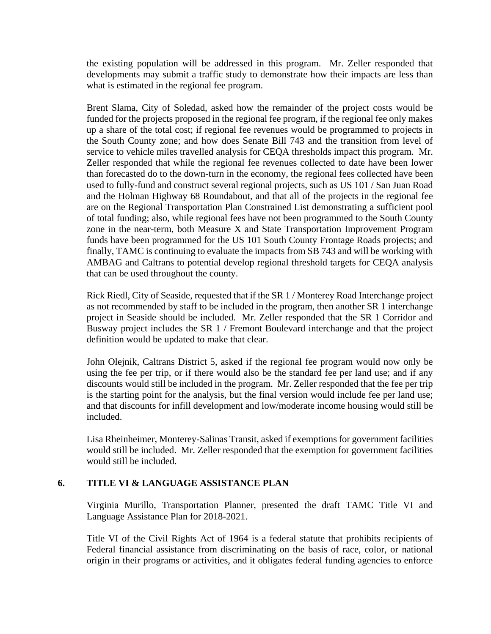the existing population will be addressed in this program. Mr. Zeller responded that developments may submit a traffic study to demonstrate how their impacts are less than what is estimated in the regional fee program.

Brent Slama, City of Soledad, asked how the remainder of the project costs would be funded for the projects proposed in the regional fee program, if the regional fee only makes up a share of the total cost; if regional fee revenues would be programmed to projects in the South County zone; and how does Senate Bill 743 and the transition from level of service to vehicle miles travelled analysis for CEQA thresholds impact this program. Mr. Zeller responded that while the regional fee revenues collected to date have been lower than forecasted do to the down-turn in the economy, the regional fees collected have been used to fully-fund and construct several regional projects, such as US 101 / San Juan Road and the Holman Highway 68 Roundabout, and that all of the projects in the regional fee are on the Regional Transportation Plan Constrained List demonstrating a sufficient pool of total funding; also, while regional fees have not been programmed to the South County zone in the near-term, both Measure X and State Transportation Improvement Program funds have been programmed for the US 101 South County Frontage Roads projects; and finally, TAMC is continuing to evaluate the impacts from SB 743 and will be working with AMBAG and Caltrans to potential develop regional threshold targets for CEQA analysis that can be used throughout the county.

Rick Riedl, City of Seaside, requested that if the SR 1 / Monterey Road Interchange project as not recommended by staff to be included in the program, then another SR 1 interchange project in Seaside should be included. Mr. Zeller responded that the SR 1 Corridor and Busway project includes the SR 1 / Fremont Boulevard interchange and that the project definition would be updated to make that clear.

John Olejnik, Caltrans District 5, asked if the regional fee program would now only be using the fee per trip, or if there would also be the standard fee per land use; and if any discounts would still be included in the program. Mr. Zeller responded that the fee per trip is the starting point for the analysis, but the final version would include fee per land use; and that discounts for infill development and low/moderate income housing would still be included.

Lisa Rheinheimer, Monterey-Salinas Transit, asked if exemptions for government facilities would still be included. Mr. Zeller responded that the exemption for government facilities would still be included.

# **6. TITLE VI & LANGUAGE ASSISTANCE PLAN**

Virginia Murillo, Transportation Planner, presented the draft TAMC Title VI and Language Assistance Plan for 2018-2021.

Title VI of the Civil Rights Act of 1964 is a federal statute that prohibits recipients of Federal financial assistance from discriminating on the basis of race, color, or national origin in their programs or activities, and it obligates federal funding agencies to enforce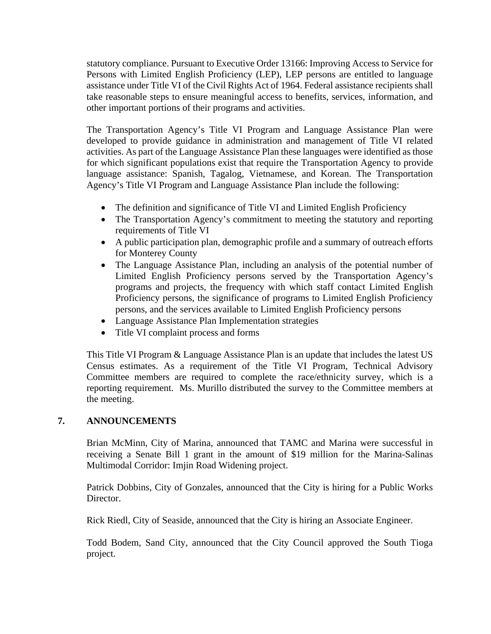statutory compliance. Pursuant to Executive Order 13166: Improving Access to Service for Persons with Limited English Proficiency (LEP), LEP persons are entitled to language assistance under Title VI of the Civil Rights Act of 1964. Federal assistance recipients shall take reasonable steps to ensure meaningful access to benefits, services, information, and other important portions of their programs and activities.

The Transportation Agency's Title VI Program and Language Assistance Plan were developed to provide guidance in administration and management of Title VI related activities. As part of the Language Assistance Plan these languages were identified as those for which significant populations exist that require the Transportation Agency to provide language assistance: Spanish, Tagalog, Vietnamese, and Korean. The Transportation Agency's Title VI Program and Language Assistance Plan include the following:

- The definition and significance of Title VI and Limited English Proficiency
- The Transportation Agency's commitment to meeting the statutory and reporting requirements of Title VI
- A public participation plan, demographic profile and a summary of outreach efforts for Monterey County
- The Language Assistance Plan, including an analysis of the potential number of Limited English Proficiency persons served by the Transportation Agency's programs and projects, the frequency with which staff contact Limited English Proficiency persons, the significance of programs to Limited English Proficiency persons, and the services available to Limited English Proficiency persons
- Language Assistance Plan Implementation strategies
- Title VI complaint process and forms

This Title VI Program & Language Assistance Plan is an update that includes the latest US Census estimates. As a requirement of the Title VI Program, Technical Advisory Committee members are required to complete the race/ethnicity survey, which is a reporting requirement. Ms. Murillo distributed the survey to the Committee members at the meeting.

# **7. ANNOUNCEMENTS**

Brian McMinn, City of Marina, announced that TAMC and Marina were successful in receiving a Senate Bill 1 grant in the amount of \$19 million for the Marina-Salinas Multimodal Corridor: Imjin Road Widening project.

Patrick Dobbins, City of Gonzales, announced that the City is hiring for a Public Works Director.

Rick Riedl, City of Seaside, announced that the City is hiring an Associate Engineer.

Todd Bodem, Sand City, announced that the City Council approved the South Tioga project.